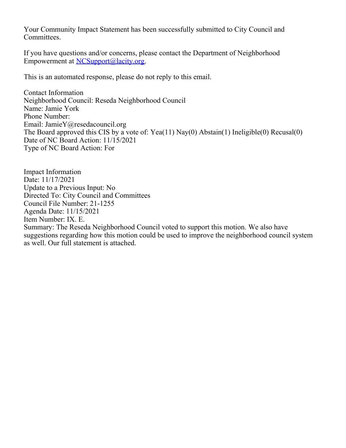Your Community Impact Statement has been successfully submitted to City Council and Committees.

If you have questions and/or concerns, please contact the Department of Neighborhood Empowerment at [NCSupport@lacity.org](mailto:NCSupport@lacity.org).

This is an automated response, please do not reply to this email.

Contact Information Neighborhood Council: Reseda Neighborhood Council Name: Jamie York Phone Number: Email: JamieY@resedacouncil.org The Board approved this CIS by a vote of: Yea(11) Nay(0) Abstain(1) Ineligible(0) Recusal(0) Date of NC Board Action: 11/15/2021 Type of NC Board Action: For

Impact Information Date: 11/17/2021 Update to a Previous Input: No Directed To: City Council and Committees Council File Number: 21-1255 Agenda Date: 11/15/2021 Item Number: IX. E. Summary: The Reseda Neighborhood Council voted to support this motion. We also have suggestions regarding how this motion could be used to improve the neighborhood council system as well. Our full statement is attached.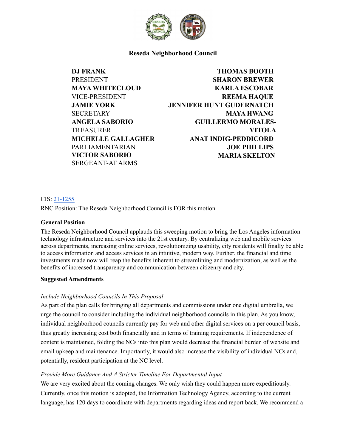

**Reseda Neighborhood Council**

**DJ FRANK PRESIDENT MAYA WHITECLOUD** VICE-PRESIDENT **JAMIE YORK SECRETARY ANGELA SABORIO** TREASURER **MICHELLE GALLAGHER** PARLIAMENTARIAN **VICTOR SABORIO** SERGEANT-AT ARMS

# **THOMAS BOOTH SHARON BREWER KARLA ESCOBAR REEMA HAQUE JENNIFER HUNT GUDERNATCH MAYA HWANG GUILLERMO MORALES-VITOLA ANAT INDIG-PEDDICORD JOE PHILLIPS MARIA SKELTON**

### CIS: [21-1255](https://cityclerk.lacity.org/lacityclerkconnect/index.cfm?fa=ccfi.viewrecord&cfnumber=21-1255)

RNC Position: The Reseda Neighborhood Council is FOR this motion.

### **General Position**

The Reseda Neighborhood Council applauds this sweeping motion to bring the Los Angeles information technology infrastructure and services into the 21st century. By centralizing web and mobile services across departments, increasing online services, revolutionizing usability, city residents will finally be able to access information and access services in an intuitive, modern way. Further, the financial and time investments made now will reap the benefits inherent to streamlining and modernization, as well as the benefits of increased transparency and communication between citizenry and city.

#### **Suggested Amendments**

### *Include Neighborhood Councils In This Proposal*

As part of the plan calls for bringing all departments and commissions under one digital umbrella, we urge the council to consider including the individual neighborhood councils in this plan. As you know, individual neighborhood councils currently pay for web and other digital services on a per council basis, thus greatly increasing cost both financially and in terms of training requirements. If independence of content is maintained, folding the NCs into this plan would decrease the financial burden of website and email upkeep and maintenance. Importantly, it would also increase the visibility of individual NCs and, potentially, resident participation at the NC level.

### *Provide More Guidance And A Stricter Timeline For Departmental Input*

We are very excited about the coming changes. We only wish they could happen more expeditiously. Currently, once this motion is adopted, the Information Technology Agency, according to the current language, has 120 days to coordinate with departments regarding ideas and report back. We recommend a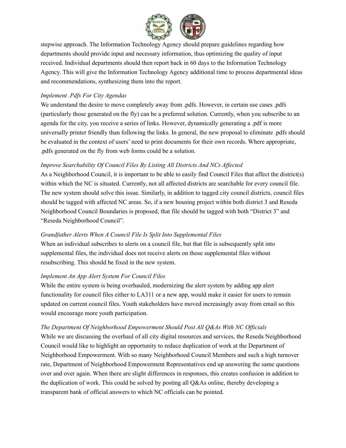

stepwise approach. The Information Technology Agency should prepare guidelines regarding how departments should provide input and necessary information, thus optimizing the quality of input received. Individual departments should then report back in 60 days to the Information Technology Agency. This will give the Information Technology Agency additional time to process departmental ideas and recommendations, synthesizing them into the report.

### *Implement .Pdfs For City Agendas*

We understand the desire to move completely away from .pdfs. However, in certain use cases .pdfs (particularly those generated on the fly) can be a preferred solution. Currently, when you subscribe to an agenda for the city, you receive a series of links. However, dynamically generating a .pdf is more universally printer friendly than following the links. In general, the new proposal to eliminate .pdfs should be evaluated in the context of users' need to print documents for their own records. Where appropriate, .pdfs generated on the fly from web forms could be a solution.

## *Improve Searchability Of Council Files By Listing All Districts And NCs Af ected*

As a Neighborhood Council, it is important to be able to easily find Council Files that affect the district(s) within which the NC is situated. Currently, not all affected districts are searchable for every council file. The new system should solve this issue. Similarly, in addition to tagged city council districts, council files should be tagged with affected NC areas. So, if a new housing project within both district 3 and Reseda Neighborhood Council Boundaries is proposed, that file should be tagged with both "District 3" and "Reseda Neighborhood Council".

## *Grandfather Alerts When A Council File Is Split Into Supplemental Files*

When an individual subscribes to alerts on a council file, but that file is subsequently split into supplemental files, the individual does not receive alerts on those supplemental files without resubscribing. This should be fixed in the new system.

### *Implement An App Alert System For Council Files*

While the entire system is being overhauled, modernizing the alert system by adding app alert functionality for council files either to LA311 or a new app, would make it easier for users to remain updated on current council files. Youth stakeholders have moved increasingly away from email so this would encourage more youth participation.

## *The Department Of Neighborhood Empowerment Should Post All Q&As With NC Of icials*

While we are discussing the overhaul of all city digital resources and services, the Reseda Neighborhood Council would like to highlight an opportunity to reduce duplication of work at the Department of Neighborhood Empowerment. With so many Neighborhood Council Members and such a high turnover rate, Department of Neighborhood Empowerment Representatives end up answering the same questions over and over again. When there are slight differences in responses, this creates confusion in addition to the duplication of work. This could be solved by posting all Q&As online, thereby developing a transparent bank of official answers to which NC officials can be pointed.